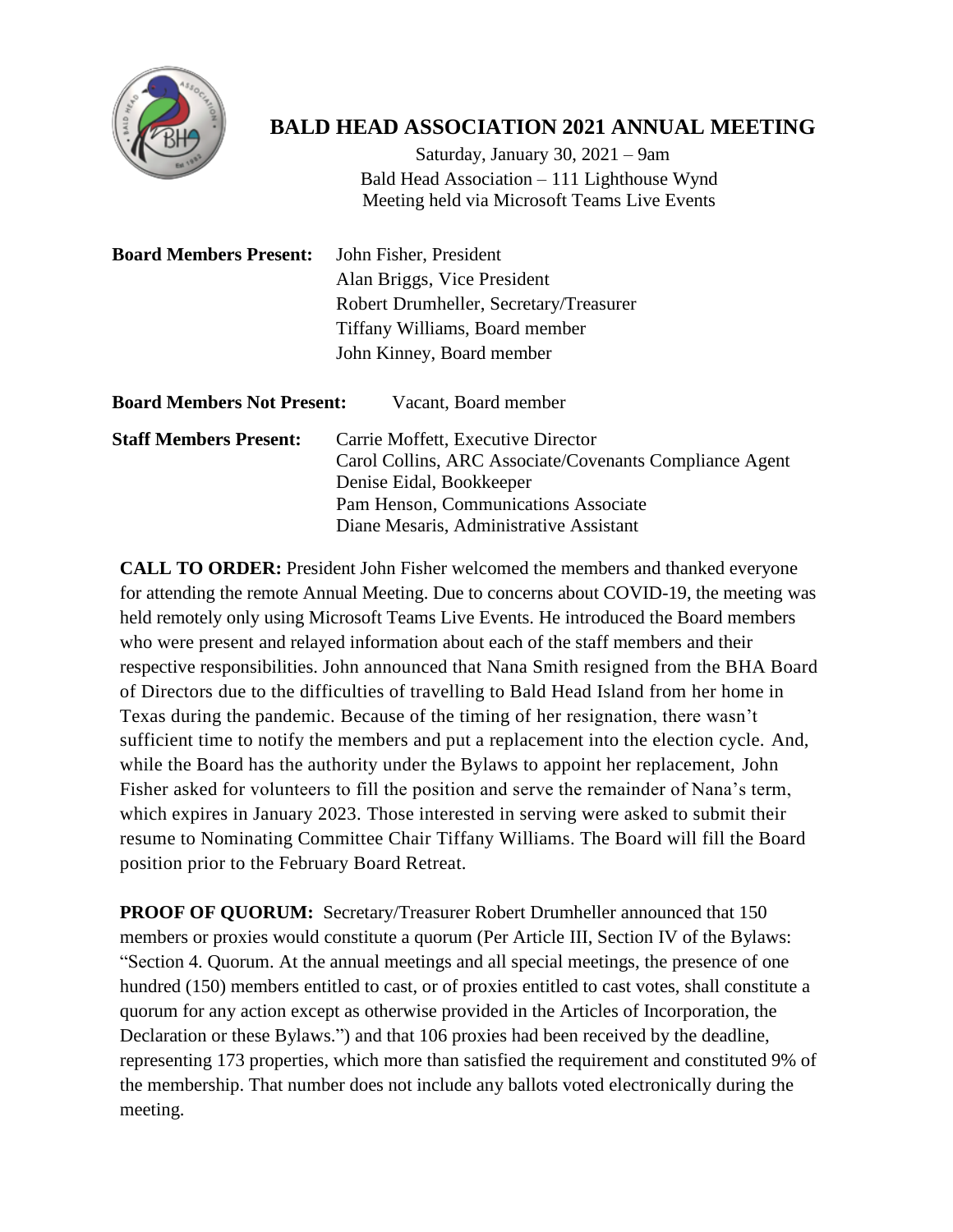

## **BALD HEAD ASSOCIATION 2021 ANNUAL MEETING**

Saturday, January 30, 2021 – 9am Bald Head Association – 111 Lighthouse Wynd Meeting held via Microsoft Teams Live Events

| <b>Board Members Present:</b>     | John Fisher, President                 |
|-----------------------------------|----------------------------------------|
|                                   | Alan Briggs, Vice President            |
|                                   | Robert Drumheller, Secretary/Treasurer |
|                                   | Tiffany Williams, Board member         |
|                                   | John Kinney, Board member              |
|                                   |                                        |
| <b>Board Members Not Present:</b> | Vacant Board member                    |

| <b>Staff Members Present:</b> | Carrie Moffett, Executive Director                      |
|-------------------------------|---------------------------------------------------------|
|                               | Carol Collins, ARC Associate/Covenants Compliance Agent |
|                               | Denise Eidal, Bookkeeper                                |
|                               | Pam Henson, Communications Associate                    |
|                               | Diane Mesaris, Administrative Assistant                 |
|                               |                                                         |

**CALL TO ORDER:** President John Fisher welcomed the members and thanked everyone for attending the remote Annual Meeting. Due to concerns about COVID-19, the meeting was held remotely only using Microsoft Teams Live Events. He introduced the Board members who were present and relayed information about each of the staff members and their respective responsibilities. John announced that Nana Smith resigned from the BHA Board of Directors due to the difficulties of travelling to Bald Head Island from her home in Texas during the pandemic. Because of the timing of her resignation, there wasn't sufficient time to notify the members and put a replacement into the election cycle. And, while the Board has the authority under the Bylaws to appoint her replacement, John Fisher asked for volunteers to fill the position and serve the remainder of Nana's term, which expires in January 2023. Those interested in serving were asked to submit their resume to Nominating Committee Chair Tiffany Williams. The Board will fill the Board position prior to the February Board Retreat.

**PROOF OF QUORUM:** Secretary/Treasurer Robert Drumheller announced that 150 members or proxies would constitute a quorum (Per Article III, Section IV of the Bylaws: "Section 4. Quorum. At the annual meetings and all special meetings, the presence of one hundred (150) members entitled to cast, or of proxies entitled to cast votes, shall constitute a quorum for any action except as otherwise provided in the Articles of Incorporation, the Declaration or these Bylaws.") and that 106 proxies had been received by the deadline, representing 173 properties, which more than satisfied the requirement and constituted 9% of the membership. That number does not include any ballots voted electronically during the meeting.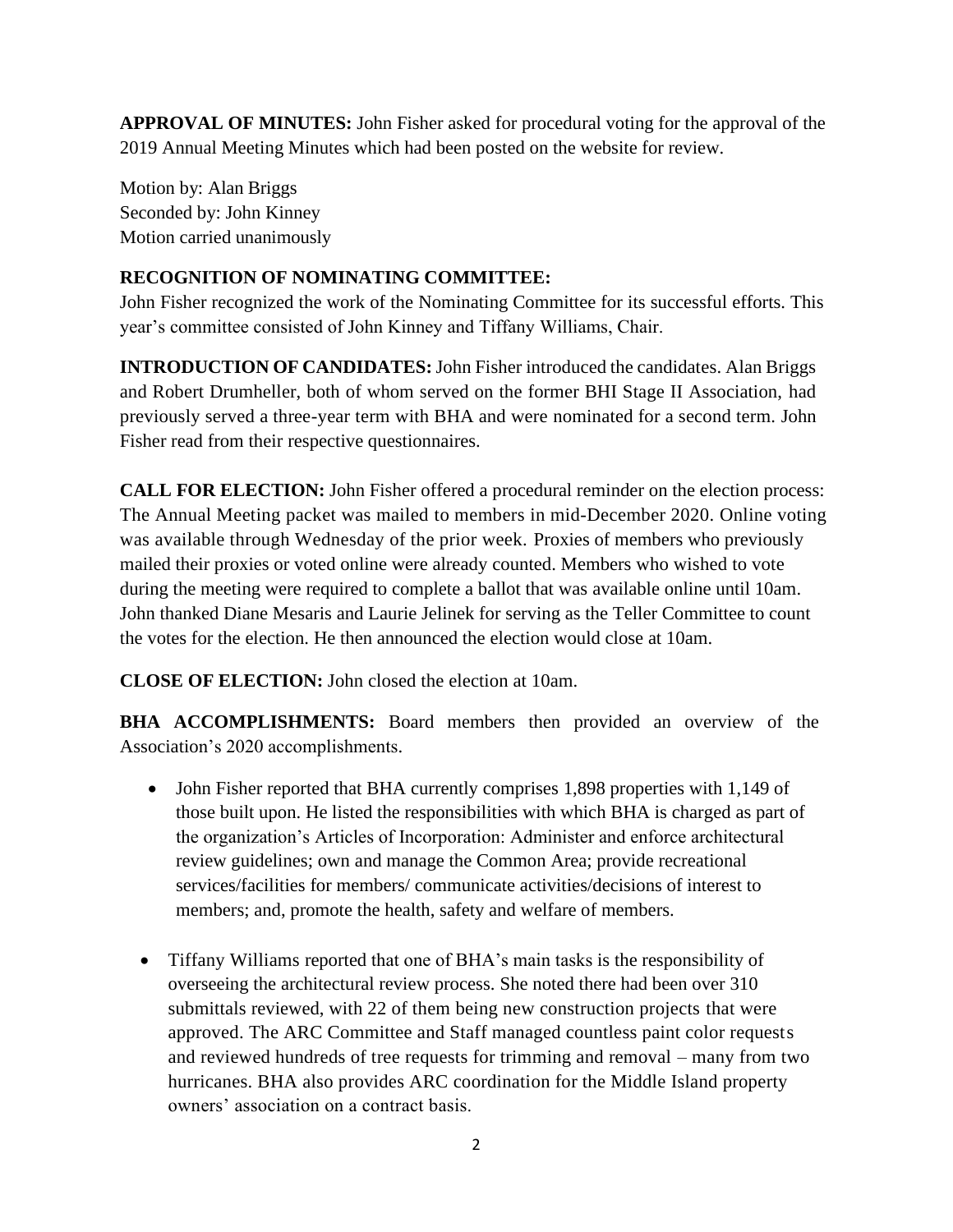**APPROVAL OF MINUTES:** John Fisher asked for procedural voting for the approval of the 2019 Annual Meeting Minutes which had been posted on the website for review.

Motion by: Alan Briggs Seconded by: John Kinney Motion carried unanimously

## **RECOGNITION OF NOMINATING COMMITTEE:**

John Fisher recognized the work of the Nominating Committee for its successful efforts. This year's committee consisted of John Kinney and Tiffany Williams, Chair.

**INTRODUCTION OF CANDIDATES:** John Fisher introduced the candidates. Alan Briggs and Robert Drumheller, both of whom served on the former BHI Stage II Association, had previously served a three-year term with BHA and were nominated for a second term. John Fisher read from their respective questionnaires.

**CALL FOR ELECTION:** John Fisher offered a procedural reminder on the election process: The Annual Meeting packet was mailed to members in mid-December 2020. Online voting was available through Wednesday of the prior week. Proxies of members who previously mailed their proxies or voted online were already counted. Members who wished to vote during the meeting were required to complete a ballot that was available online until 10am. John thanked Diane Mesaris and Laurie Jelinek for serving as the Teller Committee to count the votes for the election. He then announced the election would close at 10am.

**CLOSE OF ELECTION:** John closed the election at 10am.

**BHA ACCOMPLISHMENTS:** Board members then provided an overview of the Association's 2020 accomplishments.

- John Fisher reported that BHA currently comprises 1,898 properties with 1,149 of those built upon. He listed the responsibilities with which BHA is charged as part of the organization's Articles of Incorporation: Administer and enforce architectural review guidelines; own and manage the Common Area; provide recreational services/facilities for members/ communicate activities/decisions of interest to members; and, promote the health, safety and welfare of members.
- Tiffany Williams reported that one of BHA's main tasks is the responsibility of overseeing the architectural review process. She noted there had been over 310 submittals reviewed, with 22 of them being new construction projects that were approved. The ARC Committee and Staff managed countless paint color requests and reviewed hundreds of tree requests for trimming and removal – many from two hurricanes. BHA also provides ARC coordination for the Middle Island property owners' association on a contract basis.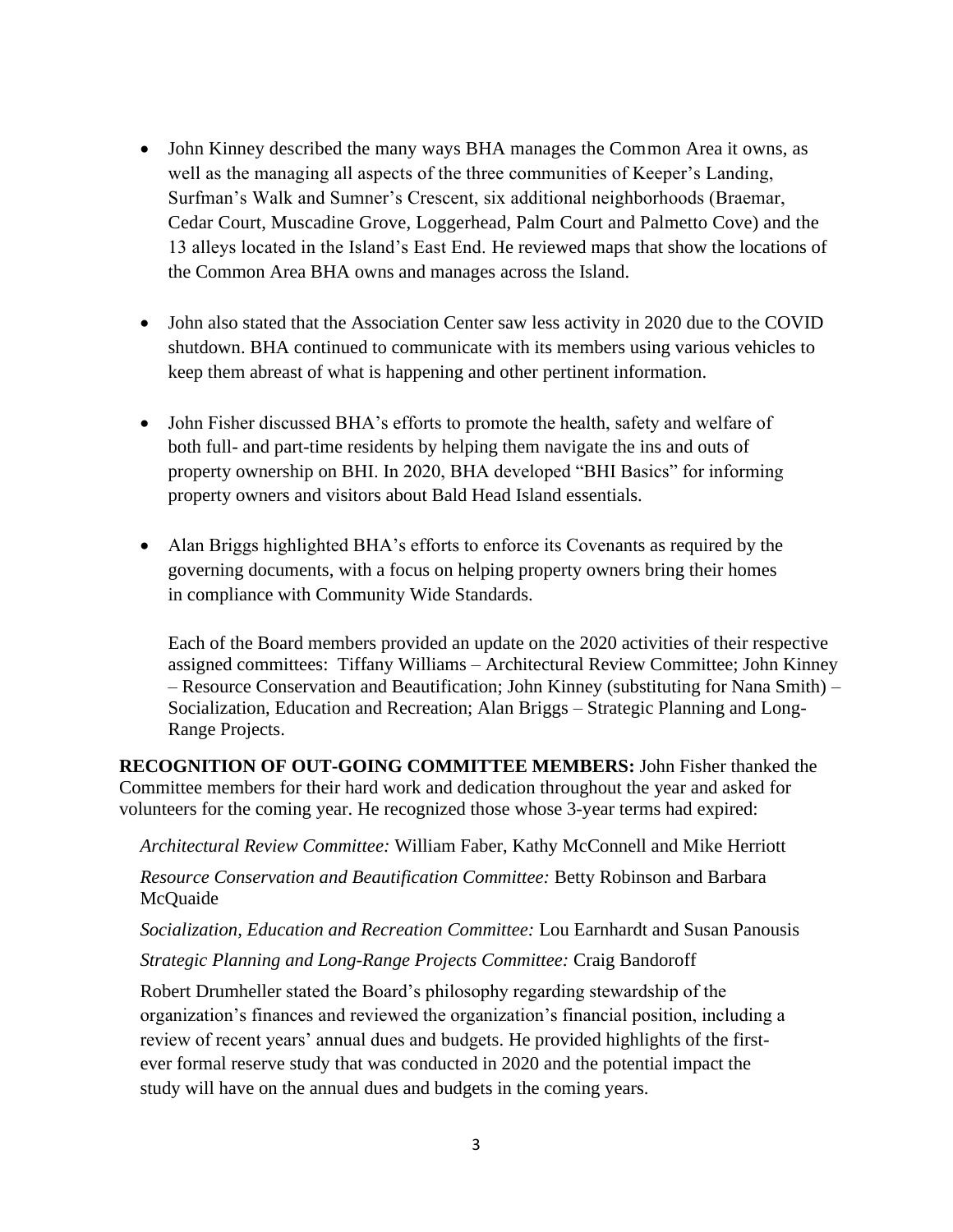- John Kinney described the many ways BHA manages the Common Area it owns, as well as the managing all aspects of the three communities of Keeper's Landing, Surfman's Walk and Sumner's Crescent, six additional neighborhoods (Braemar, Cedar Court, Muscadine Grove, Loggerhead, Palm Court and Palmetto Cove) and the 13 alleys located in the Island's East End. He reviewed maps that show the locations of the Common Area BHA owns and manages across the Island.
- John also stated that the Association Center saw less activity in 2020 due to the COVID shutdown. BHA continued to communicate with its members using various vehicles to keep them abreast of what is happening and other pertinent information.
- John Fisher discussed BHA's efforts to promote the health, safety and welfare of both full- and part-time residents by helping them navigate the ins and outs of property ownership on BHI. In 2020, BHA developed "BHI Basics" for informing property owners and visitors about Bald Head Island essentials.
- Alan Briggs highlighted BHA's efforts to enforce its Covenants as required by the governing documents, with a focus on helping property owners bring their homes in compliance with Community Wide Standards.

Each of the Board members provided an update on the 2020 activities of their respective assigned committees: Tiffany Williams – Architectural Review Committee; John Kinney – Resource Conservation and Beautification; John Kinney (substituting for Nana Smith) – Socialization, Education and Recreation; Alan Briggs – Strategic Planning and Long-Range Projects.

**RECOGNITION OF OUT-GOING COMMITTEE MEMBERS:** John Fisher thanked the Committee members for their hard work and dedication throughout the year and asked for volunteers for the coming year. He recognized those whose 3-year terms had expired:

*Architectural Review Committee:* William Faber, Kathy McConnell and Mike Herriott

*Resource Conservation and Beautification Committee:* Betty Robinson and Barbara **McQuaide** 

*Socialization, Education and Recreation Committee:* Lou Earnhardt and Susan Panousis *Strategic Planning and Long-Range Projects Committee:* Craig Bandoroff

Robert Drumheller stated the Board's philosophy regarding stewardship of the organization's finances and reviewed the organization's financial position, including a review of recent years' annual dues and budgets. He provided highlights of the firstever formal reserve study that was conducted in 2020 and the potential impact the study will have on the annual dues and budgets in the coming years.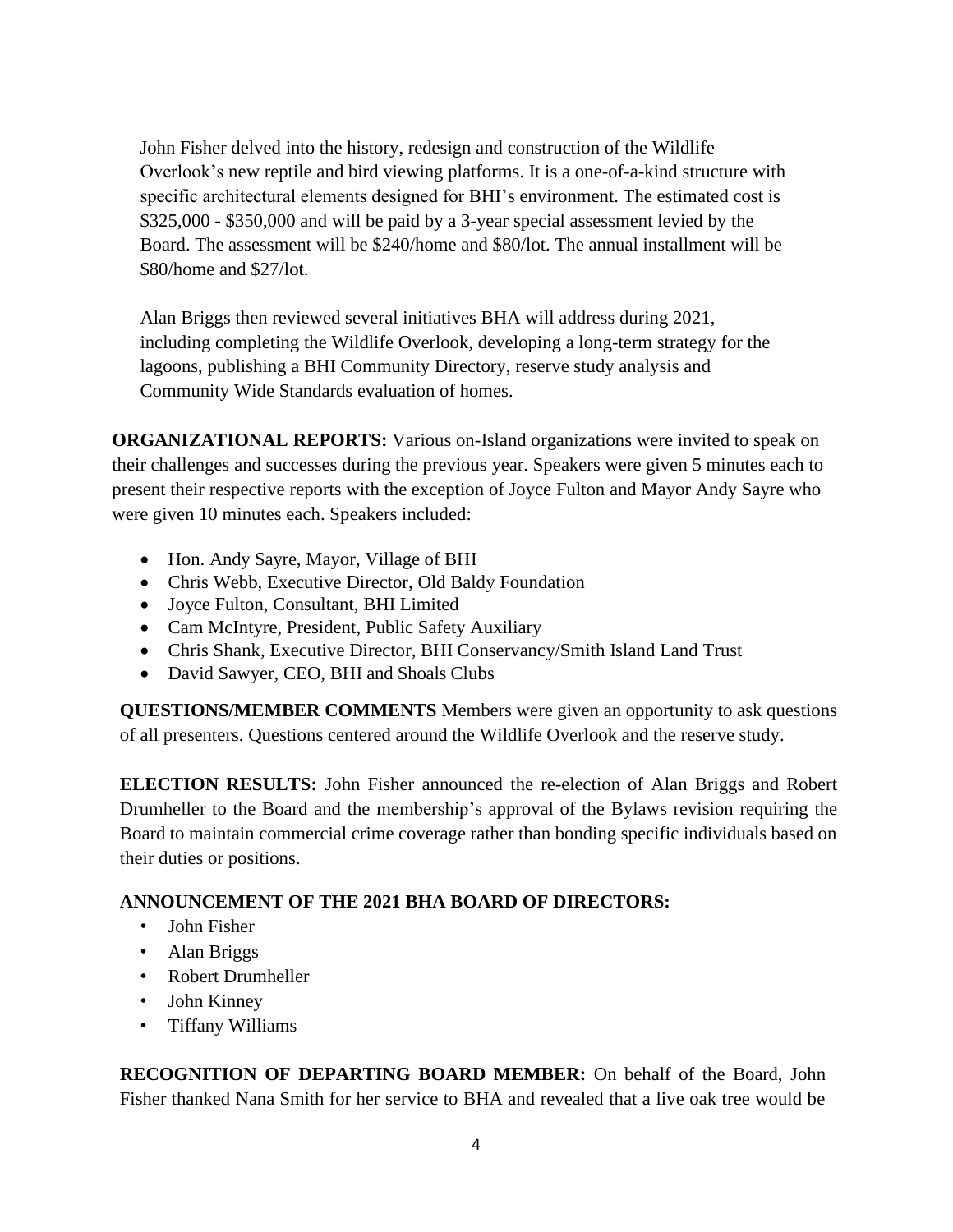John Fisher delved into the history, redesign and construction of the Wildlife Overlook's new reptile and bird viewing platforms. It is a one-of-a-kind structure with specific architectural elements designed for BHI's environment. The estimated cost is \$325,000 - \$350,000 and will be paid by a 3-year special assessment levied by the Board. The assessment will be \$240/home and \$80/lot. The annual installment will be \$80/home and \$27/lot.

Alan Briggs then reviewed several initiatives BHA will address during 2021, including completing the Wildlife Overlook, developing a long-term strategy for the lagoons, publishing a BHI Community Directory, reserve study analysis and Community Wide Standards evaluation of homes.

**ORGANIZATIONAL REPORTS:** Various on-Island organizations were invited to speak on their challenges and successes during the previous year. Speakers were given 5 minutes each to present their respective reports with the exception of Joyce Fulton and Mayor Andy Sayre who were given 10 minutes each. Speakers included:

- Hon. Andy Sayre, Mayor, Village of BHI
- Chris Webb, Executive Director, Old Baldy Foundation
- Joyce Fulton, Consultant, BHI Limited
- Cam McIntyre, President, Public Safety Auxiliary
- Chris Shank, Executive Director, BHI Conservancy/Smith Island Land Trust
- David Sawyer, CEO, BHI and Shoals Clubs

**QUESTIONS/MEMBER COMMENTS** Members were given an opportunity to ask questions of all presenters. Questions centered around the Wildlife Overlook and the reserve study.

**ELECTION RESULTS:** John Fisher announced the re-election of Alan Briggs and Robert Drumheller to the Board and the membership's approval of the Bylaws revision requiring the Board to maintain commercial crime coverage rather than bonding specific individuals based on their duties or positions.

## **ANNOUNCEMENT OF THE 2021 BHA BOARD OF DIRECTORS:**

- John Fisher
- Alan Briggs
- Robert Drumheller
- John Kinney
- Tiffany Williams

**RECOGNITION OF DEPARTING BOARD MEMBER:** On behalf of the Board, John Fisher thanked Nana Smith for her service to BHA and revealed that a live oak tree would be